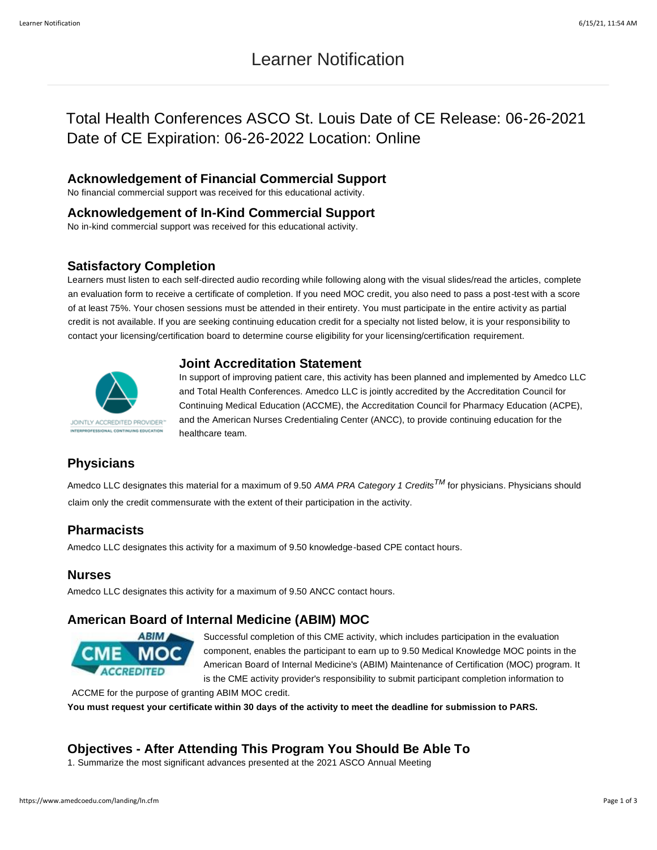# Learner Notification

# Total Health Conferences ASCO St. Louis Date of CE Release: 06-26-2021 Date of CE Expiration: 06-26-2022 Location: Online

#### **Acknowledgement of Financial Commercial Support**

No financial commercial support was received for this educational activity.

#### **Acknowledgement of In-Kind Commercial Support**

No in-kind commercial support was received for this educational activity.

#### **Satisfactory Completion**

Learners must listen to each self-directed audio recording while following along with the visual slides/read the articles, complete an evaluation form to receive a certificate of completion. If you need MOC credit, you also need to pass a post-test with a score of at least 75%. Your chosen sessions must be attended in their entirety. You must participate in the entire activity as partial credit is not available. If you are seeking continuing education credit for a specialty not listed below, it is your responsibility to contact your licensing/certification board to determine course eligibility for your licensing/certification requirement.

## **Joint Accreditation Statement**



In support of improving patient care, this activity has been planned and implemented by Amedco LLC and Total Health Conferences. Amedco LLC is jointly accredited by the Accreditation Council for Continuing Medical Education (ACCME), the Accreditation Council for Pharmacy Education (ACPE), and the American Nurses Credentialing Center (ANCC), to provide continuing education for the healthcare team.

# **Physicians**

Amedco LLC designates this material for a maximum of 9.50 *AMA PRA Category 1 CreditsTM* for physicians. Physicians should claim only the credit commensurate with the extent of their participation in the activity.

### **Pharmacists**

Amedco LLC designates this activity for a maximum of 9.50 knowledge-based CPE contact hours.

### **Nurses**

Amedco LLC designates this activity for a maximum of 9.50 ANCC contact hours.

### **American Board of Internal Medicine (ABIM) MOC**



Successful completion of this CME activity, which includes participation in the evaluation component, enables the participant to earn up to 9.50 Medical Knowledge MOC points in the American Board of Internal Medicine's (ABIM) Maintenance of Certification (MOC) program. It is the CME activity provider's responsibility to submit participant completion information to

ACCME for the purpose of granting ABIM MOC credit. **You must request your certificate within 30 days of the activity to meet the deadline for submission to PARS.**

## **Objectives - After Attending This Program You Should Be Able To**

1. Summarize the most significant advances presented at the 2021 ASCO Annual Meeting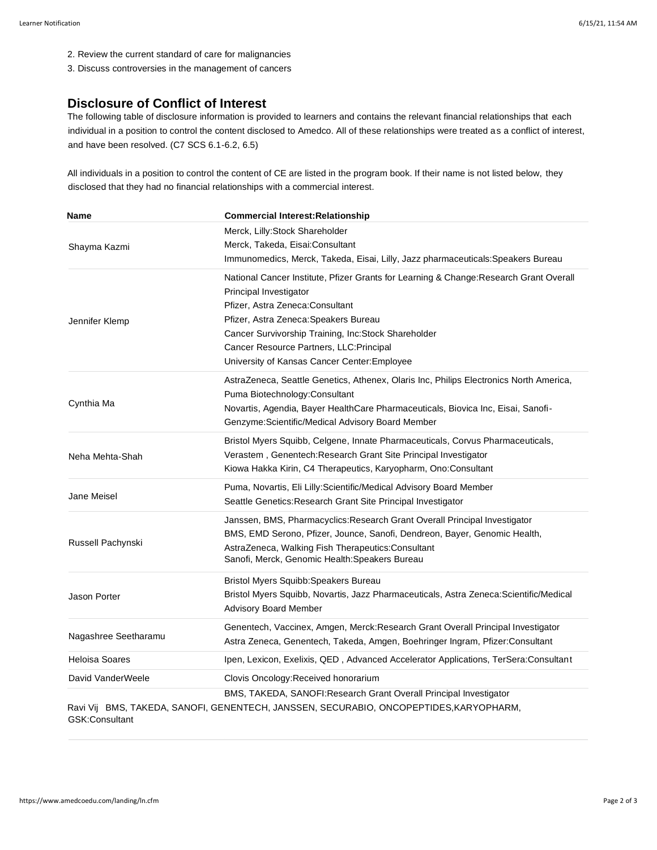- 2. Review the current standard of care for malignancies
- 3. Discuss controversies in the management of cancers

#### **Disclosure of Conflict of Interest**

The following table of disclosure information is provided to learners and contains the relevant financial relationships that each individual in a position to control the content disclosed to Amedco. All of these relationships were treated as a conflict of interest, and have been resolved. (C7 SCS 6.1-6.2, 6.5)

All individuals in a position to control the content of CE are listed in the program book. If their name is not listed below, they disclosed that they had no financial relationships with a commercial interest.

| Name                  | <b>Commercial Interest: Relationship</b>                                                                                                                                                                                                                                                                                                         |
|-----------------------|--------------------------------------------------------------------------------------------------------------------------------------------------------------------------------------------------------------------------------------------------------------------------------------------------------------------------------------------------|
| Shayma Kazmi          | Merck, Lilly: Stock Shareholder<br>Merck, Takeda, Eisai:Consultant<br>Immunomedics, Merck, Takeda, Eisai, Lilly, Jazz pharmaceuticals: Speakers Bureau                                                                                                                                                                                           |
| Jennifer Klemp        | National Cancer Institute, Pfizer Grants for Learning & Change: Research Grant Overall<br>Principal Investigator<br>Pfizer, Astra Zeneca: Consultant<br>Pfizer, Astra Zeneca: Speakers Bureau<br>Cancer Survivorship Training, Inc:Stock Shareholder<br>Cancer Resource Partners, LLC: Principal<br>University of Kansas Cancer Center: Employee |
| Cynthia Ma            | AstraZeneca, Seattle Genetics, Athenex, Olaris Inc, Philips Electronics North America,<br>Puma Biotechnology: Consultant<br>Novartis, Agendia, Bayer HealthCare Pharmaceuticals, Biovica Inc, Eisai, Sanofi-<br>Genzyme: Scientific/Medical Advisory Board Member                                                                                |
| Neha Mehta-Shah       | Bristol Myers Squibb, Celgene, Innate Pharmaceuticals, Corvus Pharmaceuticals,<br>Verastem, Genentech: Research Grant Site Principal Investigator<br>Kiowa Hakka Kirin, C4 Therapeutics, Karyopharm, Ono:Consultant                                                                                                                              |
| Jane Meisel           | Puma, Novartis, Eli Lilly: Scientific/Medical Advisory Board Member<br>Seattle Genetics: Research Grant Site Principal Investigator                                                                                                                                                                                                              |
| Russell Pachynski     | Janssen, BMS, Pharmacyclics: Research Grant Overall Principal Investigator<br>BMS, EMD Serono, Pfizer, Jounce, Sanofi, Dendreon, Bayer, Genomic Health,<br>AstraZeneca, Walking Fish Therapeutics: Consultant<br>Sanofi, Merck, Genomic Health: Speakers Bureau                                                                                  |
| <b>Jason Porter</b>   | <b>Bristol Myers Squibb: Speakers Bureau</b><br>Bristol Myers Squibb, Novartis, Jazz Pharmaceuticals, Astra Zeneca: Scientific/Medical<br><b>Advisory Board Member</b>                                                                                                                                                                           |
| Nagashree Seetharamu  | Genentech, Vaccinex, Amgen, Merck:Research Grant Overall Principal Investigator<br>Astra Zeneca, Genentech, Takeda, Amgen, Boehringer Ingram, Pfizer:Consultant                                                                                                                                                                                  |
| <b>Heloisa Soares</b> | Ipen, Lexicon, Exelixis, QED, Advanced Accelerator Applications, TerSera:Consultant                                                                                                                                                                                                                                                              |
| David VanderWeele     | Clovis Oncology: Received honorarium                                                                                                                                                                                                                                                                                                             |
| GSK:Consultant        | BMS, TAKEDA, SANOFI:Research Grant Overall Principal Investigator<br>Ravi Vij BMS, TAKEDA, SANOFI, GENENTECH, JANSSEN, SECURABIO, ONCOPEPTIDES, KARYOPHARM,                                                                                                                                                                                      |